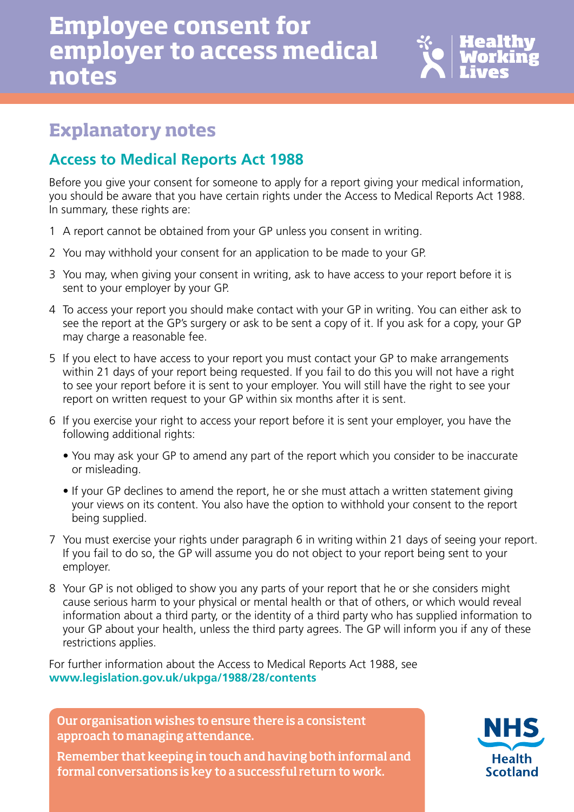# **Employee consent for employer to access medical notes**



### **Explanatory notes**

### **Access to Medical Reports Act 1988**

Before you give your consent for someone to apply for a report giving your medical information, you should be aware that you have certain rights under the Access to Medical Reports Act 1988. In summary, these rights are:

- 1 A report cannot be obtained from your GP unless you consent in writing.
- 2 You may withhold your consent for an application to be made to your GP.
- 3 You may, when giving your consent in writing, ask to have access to your report before it is sent to your employer by your GP.
- 4 To access your report you should make contact with your GP in writing. You can either ask to see the report at the GP's surgery or ask to be sent a copy of it. If you ask for a copy, your GP may charge a reasonable fee.
- 5 If you elect to have access to your report you must contact your GP to make arrangements within 21 days of your report being requested. If you fail to do this you will not have a right to see your report before it is sent to your employer. You will still have the right to see your report on written request to your GP within six months after it is sent.
- 6 If you exercise your right to access your report before it is sent your employer, you have the following additional rights:
	- You may ask your GP to amend any part of the report which you consider to be inaccurate or misleading.
	- If your GP declines to amend the report, he or she must attach a written statement giving your views on its content. You also have the option to withhold your consent to the report being supplied.
- 7 You must exercise your rights under paragraph 6 in writing within 21 days of seeing your report. If you fail to do so, the GP will assume you do not object to your report being sent to your employer.
- 8 Your GP is not obliged to show you any parts of your report that he or she considers might cause serious harm to your physical or mental health or that of others, or which would reveal information about a third party, or the identity of a third party who has supplied information to your GP about your health, unless the third party agrees. The GP will inform you if any of these restrictions applies.

For further information about the Access to Medical Reports Act 1988, see **www.legislation.gov.uk/ukpga/1988/28/contents** 

Our organisation wishes to ensure there is a consistent approach to managing attendance.

Remember that keeping in touch and having both informal and formal conversations is key to a successful return to work.

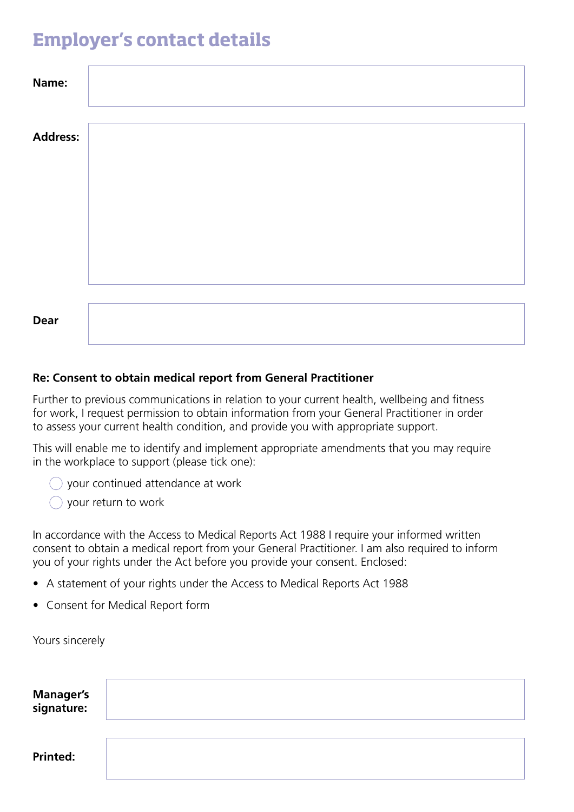## **Employer's contact details**

| Name:           |  |  |
|-----------------|--|--|
| <b>Address:</b> |  |  |
|                 |  |  |
|                 |  |  |
|                 |  |  |
|                 |  |  |
| <b>Dear</b>     |  |  |

#### **Re: Consent to obtain medical report from General Practitioner**

Further to previous communications in relation to your current health, wellbeing and fitness for work, I request permission to obtain information from your General Practitioner in order to assess your current health condition, and provide you with appropriate support.

This will enable me to identify and implement appropriate amendments that you may require in the workplace to support (please tick one):

your continued attendance at work

 $\bigcirc$  your return to work

In accordance with the Access to Medical Reports Act 1988 I require your informed written consent to obtain a medical report from your General Practitioner. I am also required to inform you of your rights under the Act before you provide your consent. Enclosed:

- A statement of your rights under the Access to Medical Reports Act 1988
- Consent for Medical Report form

Yours sincerely

| Manager's<br>signature: |  |
|-------------------------|--|
| <b>Printed:</b>         |  |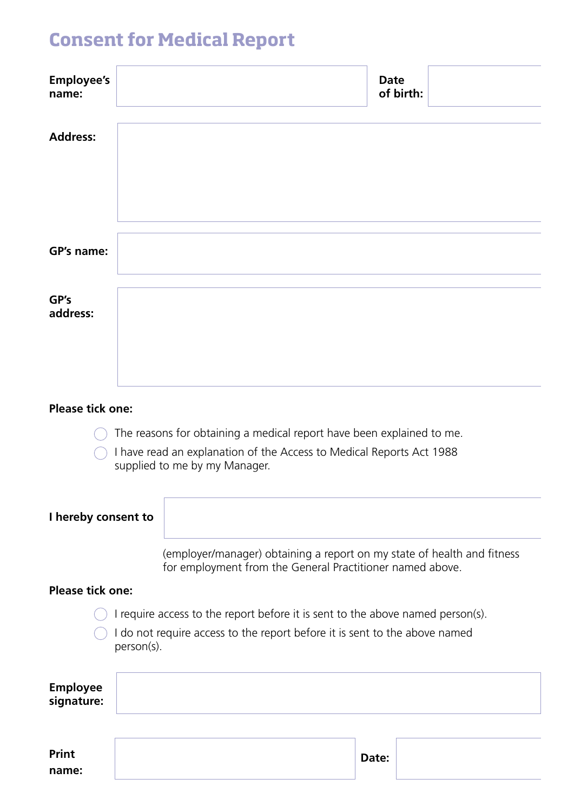# **Consent for Medical Report**

| <b>Employee's</b><br>name:    |                                                                                                                                      | <b>Date</b><br>of birth: |
|-------------------------------|--------------------------------------------------------------------------------------------------------------------------------------|--------------------------|
| <b>Address:</b>               |                                                                                                                                      |                          |
| GP's name:                    |                                                                                                                                      |                          |
|                               |                                                                                                                                      |                          |
| GP's<br>address:              |                                                                                                                                      |                          |
|                               |                                                                                                                                      |                          |
| <b>Please tick one:</b>       |                                                                                                                                      |                          |
|                               | The reasons for obtaining a medical report have been explained to me.                                                                |                          |
|                               | I have read an explanation of the Access to Medical Reports Act 1988<br>supplied to me by my Manager.                                |                          |
| I hereby consent to           |                                                                                                                                      |                          |
|                               | (employer/manager) obtaining a report on my state of health and fitness<br>for employment from the General Practitioner named above. |                          |
| <b>Please tick one:</b>       |                                                                                                                                      |                          |
|                               | I require access to the report before it is sent to the above named person(s).                                                       |                          |
|                               | I do not require access to the report before it is sent to the above named<br>person(s).                                             |                          |
| <b>Employee</b><br>signature: |                                                                                                                                      |                          |

| Print | Date: |  |
|-------|-------|--|
| name: |       |  |